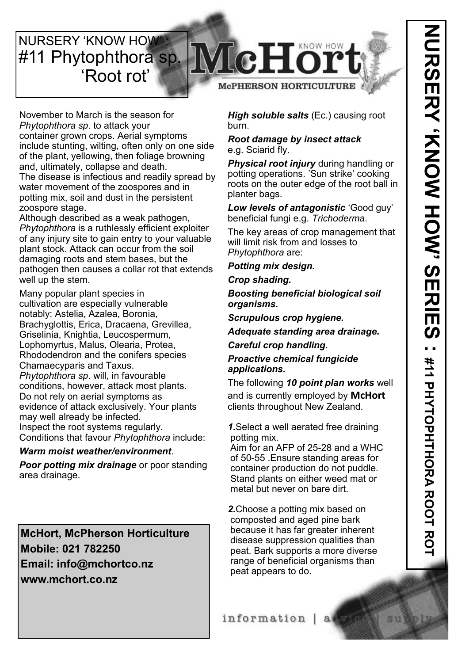**NURSERY 'KNOW HOW** #11 Phytophthora sp. 'Root rot'

## **TcHor McPHERSON HORTICULTURE**



November to March is the season for *Phytophthora sp*. to attack your container grown crops. Aerial symptoms include stunting, wilting, often only on one side of the plant, yellowing, then foliage browning and, ultimately, collapse and death. The disease is infectious and readily spread by water movement of the zoospores and in potting mix, soil and dust in the persistent zoospore stage.

Although described as a weak pathogen, *Phytophthora* is a ruthlessly efficient exploiter of any injury site to gain entry to your valuable plant stock. Attack can occur from the soil damaging roots and stem bases, but the pathogen then causes a collar rot that extends well up the stem.

Many popular plant species in cultivation are especially vulnerable notably: Astelia, Azalea, Boronia, Brachyglottis, Erica, Dracaena, Grevillea, Griselinia, Knightia, Leucospermum, Lophomyrtus, Malus, Olearia, Protea, Rhododendron and the conifers species Chamaecyparis and Taxus. *Phytophthora sp*. will, in favourable conditions, however, attack most plants. Do not rely on aerial symptoms as evidence of attack exclusively. Your plants may well already be infected. Inspect the root systems regularly. Conditions that favour *Phytophthora* include:

#### *Warm moist weather/environment*.

*Poor potting mix drainage* or poor standing area drainage.

**McHort, McPherson Horticulture Mobile: 021 782250 Email: info@mchortco.nz www.mchort.co.nz**

*High soluble salts* (Ec.) causing root burn.

#### *Root damage by insect attack*  e.g. Sciarid fly.

*Physical root injury* during handling or potting operations. 'Sun strike' cooking roots on the outer edge of the root ball in planter bags.

*Low levels of antagonistic* 'Good guy' beneficial fungi e.g. *Trichoderma*.

The key areas of crop management that will limit risk from and losses to *Phytophthora* are:

#### *Potting mix design.*

*Crop shading.*

*Boosting beneficial biological soil organisms.*

*Scrupulous crop hygiene.*

*Adequate standing area drainage.*

*Careful crop handling.*

*Proactive chemical fungicide applications.*

The following *10 point plan works* well and is currently employed by **McHort**  clients throughout New Zealand.

*1.*Select a well aerated free draining potting mix.

Aim for an AFP of 25-28 and a WHC of 50-55 .Ensure standing areas for container production do not puddle. Stand plants on either weed mat or metal but never on bare dirt.

*2.*Choose a potting mix based on composted and aged pine bark because it has far greater inherent disease suppression qualities than peat. Bark supports a more diverse range of beneficial organisms than peat appears to do.